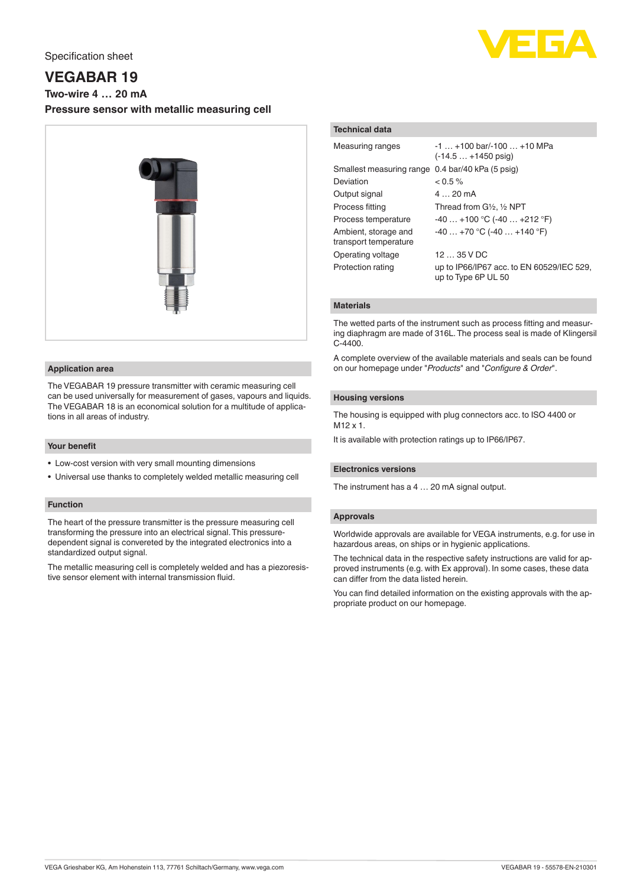

# **VEGABAR 19**

**Two-wire 4 … 20 mA**

**Pressure sensor with metallic measuring cell**



#### **Application area**

The VEGABAR 19 pressure transmitter with ceramic measuring cell can be used universally for measurement of gases, vapours and liquids. The VEGABAR 18 is an economical solution for a multitude of applications in all areas of industry.

#### **Your benefit**

- Low-cost version with very small mounting dimensions
- Universal use thanks to completely welded metallic measuring cell

# **Function**

The heart of the pressure transmitter is the pressure measuring cell transforming the pressure into an electrical signal. This pressuredependent signal is convereted by the integrated electronics into a standardized output signal.

The metallic measuring cell is completely welded and has a piezoresistive sensor element with internal transmission fluid.

# **Technical data**

| <b>Measuring ranges</b>                          | $-1$ $+100$ bar/ $-100$ $+10$ MPa<br>$(-14.5 + 1450)$ psig)      |
|--------------------------------------------------|------------------------------------------------------------------|
| Smallest measuring range 0.4 bar/40 kPa (5 psig) |                                                                  |
| Deviation                                        | $< 0.5 \%$                                                       |
| Output signal                                    | $420 \text{ mA}$                                                 |
| Process fitting                                  | Thread from G1/2, 1/2 NPT                                        |
| Process temperature                              | $-40+100 °C (-40+212 °F)$                                        |
| Ambient, storage and<br>transport temperature    | $-40+70$ °C (-40  +140 °F)                                       |
| Operating voltage                                | 1235VDC                                                          |
| Protection rating                                | up to IP66/IP67 acc. to EN 60529/IEC 529,<br>up to Type 6P UL 50 |

## **Materials**

The wetted parts of the instrument such as process fitting and measuring diaphragm are made of 316L. The process seal is made of Klingersil C-4400.

A complete overview of the available materials and seals can be found on our homepage under "*Products*" and "*Configure & Order*".

#### **Housing versions**

The housing is equipped with plug connectors acc. to ISO 4400 or M12 x 1.

It is available with protection ratings up to IP66/IP67.

# **Electronics versions**

The instrument has a 4 … 20 mA signal output.

#### **Approvals**

Worldwide approvals are available for VEGA instruments, e.g. for use in hazardous areas, on ships or in hygienic applications.

The technical data in the respective safety instructions are valid for approved instruments (e.g. with Ex approval). In some cases, these data can differ from the data listed herein.

You can find detailed information on the existing approvals with the appropriate product on our homepage.